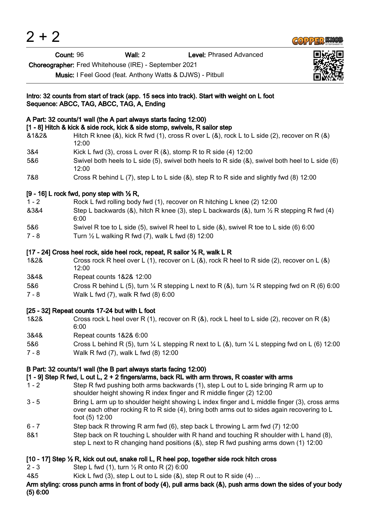| Count: 96                                                                                                          |                                                        | Wall: $2$                                                                                             | Level: Phrased Advanced                                                                                                                                                                     |  |  |
|--------------------------------------------------------------------------------------------------------------------|--------------------------------------------------------|-------------------------------------------------------------------------------------------------------|---------------------------------------------------------------------------------------------------------------------------------------------------------------------------------------------|--|--|
| Choreographer: Fred Whitehouse (IRE) - September 2021<br>Music: I Feel Good (feat. Anthony Watts & DJWS) - Pitbull |                                                        |                                                                                                       |                                                                                                                                                                                             |  |  |
|                                                                                                                    |                                                        | Sequence: ABCC, TAG, ABCC, TAG, A, Ending                                                             | Intro: 32 counts from start of track (app. 15 secs into track). Start with weight on L foot                                                                                                 |  |  |
|                                                                                                                    |                                                        | A Part: 32 counts/1 wall (the A part always starts facing 12:00)                                      |                                                                                                                                                                                             |  |  |
| &1&2&                                                                                                              | 12:00                                                  |                                                                                                       | [1 - 8] Hitch & kick & side rock, kick & side stomp, swivels, R sailor step<br>Hitch R knee (&), kick R fwd (1), cross R over L (&), rock L to L side (2), recover on R (&)                 |  |  |
| 3&4                                                                                                                |                                                        |                                                                                                       | Kick L fwd (3), cross L over R $(8)$ , stomp R to R side (4) 12:00                                                                                                                          |  |  |
| 5&6                                                                                                                | 12:00                                                  |                                                                                                       | Swivel both heels to L side (5), swivel both heels to R side ( $\&$ ), swivel both heel to L side (6)                                                                                       |  |  |
| 7&8                                                                                                                |                                                        |                                                                                                       | Cross R behind L (7), step L to L side (&), step R to R side and slightly fwd (8) 12:00                                                                                                     |  |  |
|                                                                                                                    | $[9 - 16]$ L rock fwd, pony step with $\frac{1}{2}$ R, |                                                                                                       |                                                                                                                                                                                             |  |  |
| $1 - 2$                                                                                                            |                                                        |                                                                                                       | Rock L fwd rolling body fwd (1), recover on R hitching L knee (2) 12:00                                                                                                                     |  |  |
| 8384                                                                                                               | 6:00                                                   | Step L backwards (&), hitch R knee (3), step L backwards (&), turn $\frac{1}{2}$ R stepping R fwd (4) |                                                                                                                                                                                             |  |  |
| 5&6                                                                                                                |                                                        |                                                                                                       | Swivel R toe to L side (5), swivel R heel to L side $(8)$ , swivel R toe to L side (6) 6:00                                                                                                 |  |  |
| $7 - 8$                                                                                                            |                                                        | Turn $\frac{1}{2}$ L walking R fwd (7), walk L fwd (8) 12:00                                          |                                                                                                                                                                                             |  |  |
|                                                                                                                    |                                                        |                                                                                                       | [17 - 24] Cross heel rock, side heel rock, repeat, R sailor 1/2 R, walk L R                                                                                                                 |  |  |
| 1&2&                                                                                                               | 12:00                                                  |                                                                                                       | Cross rock R heel over L (1), recover on L (&), rock R heel to R side (2), recover on L (&)                                                                                                 |  |  |
| 3&4&                                                                                                               |                                                        | Repeat counts 1&2& 12:00                                                                              |                                                                                                                                                                                             |  |  |
| 5&6                                                                                                                |                                                        |                                                                                                       | Cross R behind L (5), turn $\frac{1}{4}$ R stepping L next to R (&), turn $\frac{1}{4}$ R stepping fwd on R (6) 6:00                                                                        |  |  |
| $7 - 8$                                                                                                            |                                                        | Walk L fwd (7), walk R fwd (8) 6:00                                                                   |                                                                                                                                                                                             |  |  |
|                                                                                                                    |                                                        | [25 - 32] Repeat counts 17-24 but with L foot                                                         |                                                                                                                                                                                             |  |  |
| 1&2&                                                                                                               | 6:00                                                   |                                                                                                       | Cross rock L heel over R (1), recover on R $(8)$ , rock L heel to L side (2), recover on R $(8)$                                                                                            |  |  |
| 3&4&                                                                                                               |                                                        | Repeat counts 1&2& 6:00                                                                               |                                                                                                                                                                                             |  |  |
| 5&6<br>$7 - 8$                                                                                                     |                                                        | Walk R fwd (7), walk L fwd (8) 12:00                                                                  | Cross L behind R (5), turn $\frac{1}{4}$ L stepping R next to L (&), turn $\frac{1}{4}$ L stepping fwd on L (6) 12:00                                                                       |  |  |
|                                                                                                                    |                                                        | B Part: 32 counts/1 wall (the B part always starts facing 12:00)                                      | [1 - 9] Step R fwd, L out L, 2 + 2 fingers/arms, back RL with arm throws, R coaster with arms                                                                                               |  |  |
| $1 - 2$                                                                                                            |                                                        |                                                                                                       | Step R fwd pushing both arms backwards (1), step L out to L side bringing R arm up to<br>shoulder height showing R index finger and R middle finger (2) 12:00                               |  |  |
| $3 - 5$                                                                                                            | foot (5) 12:00                                         |                                                                                                       | Bring L arm up to shoulder height showing L index finger and L middle finger (3), cross arms<br>over each other rocking R to R side (4), bring both arms out to sides again recovering to L |  |  |
| $6 - 7$                                                                                                            |                                                        |                                                                                                       | Step back R throwing R arm fwd (6), step back L throwing L arm fwd (7) 12:00                                                                                                                |  |  |
| 8&1                                                                                                                |                                                        |                                                                                                       | Step back on R touching L shoulder with R hand and touching R shoulder with L hand (8),<br>step L next to R changing hand positions (&), step R fwd pushing arms down (1) 12:00             |  |  |
|                                                                                                                    |                                                        |                                                                                                       | [10 - 17] Step 1/2 R, kick out out, snake roll L, R heel pop, together side rock hitch cross                                                                                                |  |  |

**COPPER KNOB** 

2 - 3 Step L fwd (1), turn ½ R onto R (2) 6:00

 $2 + 2$ 

4&5 Kick L fwd (3), step L out to L side (&), step R out to R side (4) ...

Arm styling: cross punch arms in front of body (4), pull arms back (&), push arms down the sides of your body (5) 6:00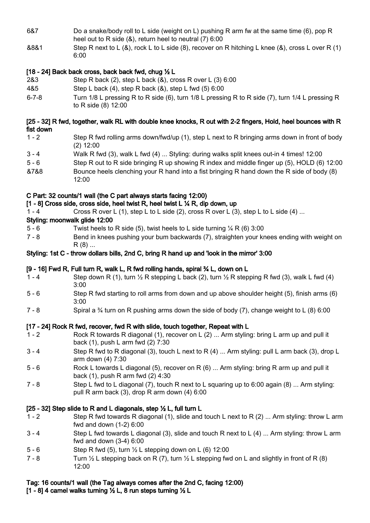- 6&7 Do a snake/body roll to L side (weight on L) pushing R arm fw at the same time (6), pop R heel out to R side (&), return heel to neutral (7) 6:00
- &8&1 Step R next to L (&), rock L to L side (8), recover on R hitching L knee (&), cross L over R (1) 6:00

# [18 - 24] Back back cross, back back fwd, chug ½ L

- 2&3 Step R back (2), step L back (&), cross R over L (3) 6:00
- 4&5 Step L back (4), step R back (&), step L fwd (5) 6:00
- 6-7-8 Turn 1/8 L pressing R to R side (6), turn 1/8 L pressing R to R side (7), turn 1/4 L pressing R to R side (8) 12:00

#### [25 - 32] R fwd, together, walk RL with double knee knocks, R out with 2-2 fingers, Hold, heel bounces with R fist down

- 1 2 Step R fwd rolling arms down/fwd/up (1), step L next to R bringing arms down in front of body (2) 12:00
- 3 4 Walk R fwd (3), walk L fwd (4) ... Styling: during walks split knees out-in 4 times! 12:00
- 5 6 Step R out to R side bringing R up showing R index and middle finger up (5), HOLD (6) 12:00 &7&8 Bounce heels clenching your R hand into a fist bringing R hand down the R side of body (8)
- 12:00

# C Part: 32 counts/1 wall (the C part always starts facing 12:00)

- [1 8] Cross side, cross side, heel twist R, heel twist L ¼ R, dip down, up
- 1 4 Cross R over L (1), step L to L side (2), cross R over L (3), step L to L side (4) ...

# Styling: moonwalk glide 12:00

- 5 6 Twist heels to R side (5), twist heels to L side turning ¼ R (6) 3:00
- 7 8 Bend in knees pushing your bum backwards (7), straighten your knees ending with weight on  $R(8)$  ...

## Styling: 1st C - throw dollars bills, 2nd C, bring R hand up and 'look in the mirror' 3:00

## [9 - 16] Fwd R, Full turn R, walk L, R fwd rolling hands, spiral ¾ L, down on L

- 1 4 Step down R (1), turn  $\frac{1}{2}$  R stepping L back (2), turn  $\frac{1}{2}$  R stepping R fwd (3), walk L fwd (4) 3:00
- 5 6 Step R fwd starting to roll arms from down and up above shoulder height (5), finish arms (6) 3:00
- 7 8 Spiral a ¾ turn on R pushing arms down the side of body (7), change weight to L (8) 6:00

## [17 - 24] Rock R fwd, recover, fwd R with slide, touch together, Repeat with L

- 1 2 Rock R towards R diagonal (1), recover on L (2) ... Arm styling: bring L arm up and pull it back (1), push L arm fwd (2) 7:30
- 3 4 Step R fwd to R diagonal (3), touch L next to R (4) ... Arm styling: pull L arm back (3), drop L arm down (4) 7:30
- 5 6 Rock L towards L diagonal (5), recover on R (6) ... Arm styling: bring R arm up and pull it back (1), push R arm fwd (2) 4:30
- 7 8 Step L fwd to L diagonal (7), touch R next to L squaring up to 6:00 again (8) ... Arm styling: pull R arm back (3), drop R arm down (4) 6:00

## [25 - 32] Step slide to R and L diagonals, step ½ L, full turn L

- 1 2 Step R fwd towards R diagonal (1), slide and touch L next to R (2) ... Arm styling: throw L arm fwd and down (1-2) 6:00
- 3 4 Step L fwd towards L diagonal (3), slide and touch R next to L (4) ... Arm styling: throw L arm fwd and down (3-4) 6:00
- 5 6 Step R fwd (5), turn ½ L stepping down on L (6) 12:00
- 7 8 Turn  $\frac{1}{2}$  L stepping back on R (7), turn  $\frac{1}{2}$  L stepping fwd on L and slightly in front of R (8) 12:00

#### Tag: 16 counts/1 wall (the Tag always comes after the 2nd C, facing 12:00) [1 - 8] 4 camel walks turning  $\frac{1}{2}$  L, 8 run steps turning  $\frac{1}{2}$  L